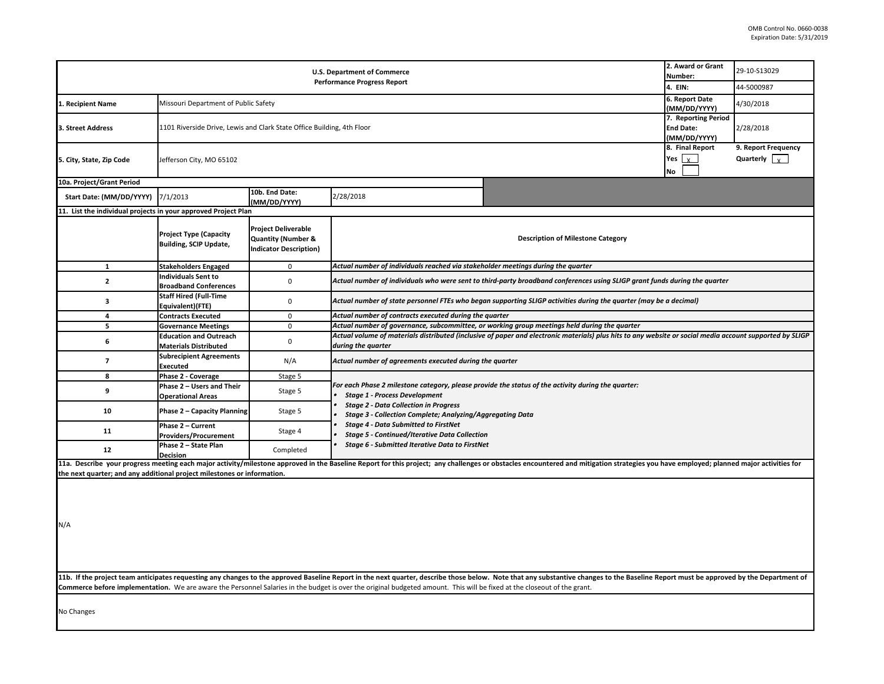| <b>U.S. Department of Commerce</b><br><b>Performance Progress Report</b>                                                                                                               |                                                                        |                                                                                              |                                                                                                                                                                                                                                                         | 2. Award or Grant<br>Number:<br>4. EIN:                                                                                                                                                                                        | 29-10-S13029<br>44-5000987    |                                              |  |
|----------------------------------------------------------------------------------------------------------------------------------------------------------------------------------------|------------------------------------------------------------------------|----------------------------------------------------------------------------------------------|---------------------------------------------------------------------------------------------------------------------------------------------------------------------------------------------------------------------------------------------------------|--------------------------------------------------------------------------------------------------------------------------------------------------------------------------------------------------------------------------------|-------------------------------|----------------------------------------------|--|
| 1. Recipient Name                                                                                                                                                                      | Missouri Department of Public Safety                                   |                                                                                              |                                                                                                                                                                                                                                                         |                                                                                                                                                                                                                                | 6. Report Date<br>MM/DD/YYYY) | 4/30/2018                                    |  |
| 3. Street Address                                                                                                                                                                      | 1101 Riverside Drive, Lewis and Clark State Office Building, 4th Floor |                                                                                              |                                                                                                                                                                                                                                                         |                                                                                                                                                                                                                                |                               | 2/28/2018                                    |  |
| 5. City, State, Zip Code                                                                                                                                                               | Jefferson City, MO 65102                                               |                                                                                              |                                                                                                                                                                                                                                                         |                                                                                                                                                                                                                                |                               | 9. Report Frequency<br>Quarterly $\boxed{x}$ |  |
| 10a. Project/Grant Period                                                                                                                                                              |                                                                        |                                                                                              |                                                                                                                                                                                                                                                         |                                                                                                                                                                                                                                |                               |                                              |  |
| Start Date: (MM/DD/YYYY)                                                                                                                                                               | 7/1/2013                                                               | 10b. End Date:<br>(MM/DD/YYYY)                                                               | 2/28/2018                                                                                                                                                                                                                                               |                                                                                                                                                                                                                                |                               |                                              |  |
| 11. List the individual projects in your approved Project Plan                                                                                                                         |                                                                        |                                                                                              |                                                                                                                                                                                                                                                         |                                                                                                                                                                                                                                |                               |                                              |  |
|                                                                                                                                                                                        | <b>Project Type (Capacity</b><br><b>Building, SCIP Update,</b>         | <b>Project Deliverable</b><br><b>Quantity (Number &amp;</b><br><b>Indicator Description)</b> |                                                                                                                                                                                                                                                         | <b>Description of Milestone Category</b>                                                                                                                                                                                       |                               |                                              |  |
| $\mathbf{1}$                                                                                                                                                                           | <b>Stakeholders Engaged</b>                                            | $\pmb{0}$                                                                                    | Actual number of individuals reached via stakeholder meetings during the quarter                                                                                                                                                                        |                                                                                                                                                                                                                                |                               |                                              |  |
| $\overline{2}$                                                                                                                                                                         | <b>Individuals Sent to</b><br><b>Broadband Conferences</b>             | $\mathbf 0$                                                                                  | Actual number of individuals who were sent to third-party broadband conferences using SLIGP grant funds during the quarter                                                                                                                              |                                                                                                                                                                                                                                |                               |                                              |  |
| 3                                                                                                                                                                                      | <b>Staff Hired (Full-Time</b><br>Equivalent)(FTE)                      | $\pmb{0}$                                                                                    |                                                                                                                                                                                                                                                         | Actual number of state personnel FTEs who began supporting SLIGP activities during the quarter (may be a decimal)                                                                                                              |                               |                                              |  |
| 4                                                                                                                                                                                      | <b>Contracts Executed</b>                                              | 0                                                                                            | Actual number of contracts executed during the quarter                                                                                                                                                                                                  |                                                                                                                                                                                                                                |                               |                                              |  |
| 5                                                                                                                                                                                      | <b>Governance Meetings</b>                                             | $\mathbf 0$                                                                                  |                                                                                                                                                                                                                                                         | Actual number of governance, subcommittee, or working group meetings held during the quarter                                                                                                                                   |                               |                                              |  |
| 6                                                                                                                                                                                      | <b>Education and Outreach</b><br><b>Materials Distributed</b>          | $\pmb{0}$                                                                                    | Actual volume of materials distributed (inclusive of paper and electronic materials) plus hits to any website or social media account supported by SLIGP<br>during the quarter                                                                          |                                                                                                                                                                                                                                |                               |                                              |  |
| $\overline{7}$                                                                                                                                                                         | <b>Subrecipient Agreements</b><br>Executed                             | N/A                                                                                          | Actual number of agreements executed during the quarter                                                                                                                                                                                                 |                                                                                                                                                                                                                                |                               |                                              |  |
| 8                                                                                                                                                                                      | Phase 2 - Coverage                                                     | Stage 5                                                                                      |                                                                                                                                                                                                                                                         |                                                                                                                                                                                                                                |                               |                                              |  |
| 9                                                                                                                                                                                      | Phase 2 - Users and Their<br><b>Operational Areas</b>                  | Stage 5                                                                                      | For each Phase 2 milestone category, please provide the status of the activity during the quarter:<br><b>Stage 1 - Process Development</b><br><b>Stage 2 - Data Collection in Progress</b><br>Stage 3 - Collection Complete; Analyzing/Aggregating Data |                                                                                                                                                                                                                                |                               |                                              |  |
| 10                                                                                                                                                                                     | Phase 2 - Capacity Planning                                            | Stage 5                                                                                      |                                                                                                                                                                                                                                                         |                                                                                                                                                                                                                                |                               |                                              |  |
| 11                                                                                                                                                                                     | Phase 2 - Current<br>Providers/Procurement                             | Stage 4                                                                                      | <b>Stage 4 - Data Submitted to FirstNet</b><br><b>Stage 5 - Continued/Iterative Data Collection</b><br>Stage 6 - Submitted Iterative Data to FirstNet                                                                                                   |                                                                                                                                                                                                                                |                               |                                              |  |
| 12                                                                                                                                                                                     | Phase 2 - State Plan<br><b>Decision</b>                                | Completed                                                                                    |                                                                                                                                                                                                                                                         |                                                                                                                                                                                                                                |                               |                                              |  |
| the next quarter; and any additional project milestones or information.                                                                                                                |                                                                        |                                                                                              |                                                                                                                                                                                                                                                         | 11a. Describe your progress meeting each major activity/milestone approved in the Baseline Report for this project; any challenges or obstacles encountered and mitigation strategies you have employed; planned major activit |                               |                                              |  |
| N/A                                                                                                                                                                                    |                                                                        |                                                                                              |                                                                                                                                                                                                                                                         | 11b. If the project team anticipates requesting any changes to the approved Baseline Report in the next quarter, describe those below. Note that any substantive changes to the Baseline Report must be approved by the Depart |                               |                                              |  |
| Commerce before implementation. We are aware the Personnel Salaries in the budget is over the original budgeted amount. This will be fixed at the closeout of the grant.<br>No Changes |                                                                        |                                                                                              |                                                                                                                                                                                                                                                         |                                                                                                                                                                                                                                |                               |                                              |  |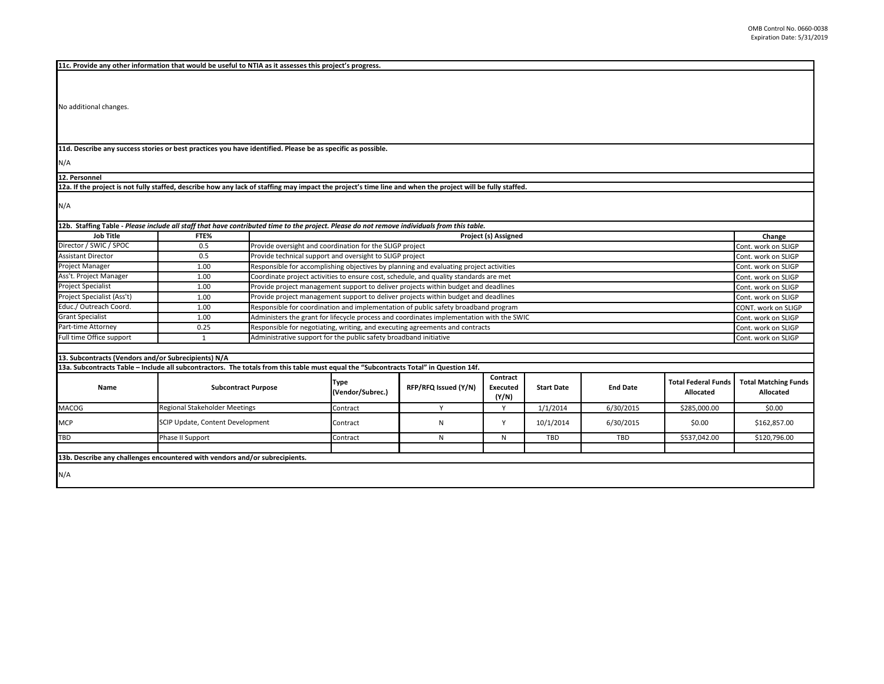**11c. Provide any other information that would be useful to NTIA as it assesses this project's progress.** 

No additional changes.

**11d. Describe any success stories or best practices you have identified. Please be as specific as possible.**

N/A

**12. Personnel** 

**12a. If the project is not fully staffed, describe how any lack of staffing may impact the project's time line and when the project will be fully staffed.**

N/A

| <b>Job Title</b>                  | FTE%                                                                                                                                  |                            | Project (s) Assigned                                                                     |                                                                              |                               |                   |                 |                                         | Change                                      |
|-----------------------------------|---------------------------------------------------------------------------------------------------------------------------------------|----------------------------|------------------------------------------------------------------------------------------|------------------------------------------------------------------------------|-------------------------------|-------------------|-----------------|-----------------------------------------|---------------------------------------------|
| Director / SWIC / SPOC            | 0.5                                                                                                                                   |                            | Provide oversight and coordination for the SLIGP project                                 |                                                                              |                               |                   |                 | Cont. work on SLIGP                     |                                             |
| <b>Assistant Director</b>         | 0.5                                                                                                                                   |                            | Provide technical support and oversight to SLIGP project                                 |                                                                              |                               |                   |                 |                                         | Cont. work on SLIGP                         |
| Project Manager                   | 1.00                                                                                                                                  |                            | Responsible for accomplishing objectives by planning and evaluating project activities   |                                                                              |                               |                   |                 |                                         | Cont. work on SLIGP                         |
| Ass't. Project Manager            | 1.00                                                                                                                                  |                            | Coordinate project activities to ensure cost, schedule, and quality standards are met    |                                                                              |                               |                   |                 |                                         | Cont. work on SLIGP                         |
| <b>Project Specialist</b>         | 1.00                                                                                                                                  |                            | Provide project management support to deliver projects within budget and deadlines       |                                                                              |                               |                   |                 |                                         | Cont. work on SLIGP                         |
| Project Specialist (Ass't)        | 1.00                                                                                                                                  |                            | Provide project management support to deliver projects within budget and deadlines       |                                                                              |                               |                   |                 |                                         | Cont. work on SLIGP                         |
| Educ./ Outreach Coord.            | 1.00                                                                                                                                  |                            | Responsible for coordination and implementation of public safety broadband program       |                                                                              |                               |                   |                 |                                         | CONT. work on SLIGP                         |
| <b>Grant Specialist</b>           | 1.00                                                                                                                                  |                            | Administers the grant for lifecycle process and coordinates implementation with the SWIC |                                                                              |                               |                   |                 |                                         | Cont. work on SLIGP                         |
| Part-time Attorney                | 0.25                                                                                                                                  |                            |                                                                                          | Responsible for negotiating, writing, and executing agreements and contracts |                               |                   |                 |                                         | Cont. work on SLIGP                         |
| Full time Office support          | $\mathbf{1}$                                                                                                                          |                            | Administrative support for the public safety broadband initiative                        |                                                                              |                               |                   |                 |                                         | Cont. work on SLIGP                         |
|                                   |                                                                                                                                       |                            |                                                                                          |                                                                              |                               |                   |                 |                                         |                                             |
|                                   | 13. Subcontracts (Vendors and/or Subrecipients) N/A                                                                                   |                            |                                                                                          |                                                                              |                               |                   |                 |                                         |                                             |
|                                   | 13a. Subcontracts Table - Include all subcontractors. The totals from this table must equal the "Subcontracts Total" in Question 14f. |                            |                                                                                          |                                                                              |                               |                   |                 |                                         |                                             |
|                                   |                                                                                                                                       |                            |                                                                                          |                                                                              |                               |                   |                 |                                         |                                             |
| Name                              |                                                                                                                                       | <b>Subcontract Purpose</b> | <b>Type</b><br>(Vendor/Subrec.)                                                          | RFP/RFQ Issued (Y/N)                                                         | Contract<br>Executed<br>(Y/N) | <b>Start Date</b> | <b>End Date</b> | <b>Total Federal Funds</b><br>Allocated | Allocated                                   |
|                                   | Regional Stakeholder Meetings                                                                                                         |                            | Contract                                                                                 | Y                                                                            | Υ                             | 1/1/2014          | 6/30/2015       | \$285,000.00                            | \$0.00                                      |
|                                   | SCIP Update, Content Development                                                                                                      |                            | Contract                                                                                 | N                                                                            | Υ                             | 10/1/2014         | 6/30/2015       | \$0.00                                  | \$162,857.00                                |
| <b>MACOG</b><br><b>MCP</b><br>TBD | Phase II Support                                                                                                                      |                            | Contract                                                                                 | N                                                                            | N                             | TBD               | <b>TBD</b>      | \$537,042.00                            | <b>Total Matching Funds</b><br>\$120,796.00 |
|                                   |                                                                                                                                       |                            |                                                                                          |                                                                              |                               |                   |                 |                                         |                                             |
|                                   | 13b. Describe any challenges encountered with vendors and/or subrecipients.                                                           |                            |                                                                                          |                                                                              |                               |                   |                 |                                         |                                             |